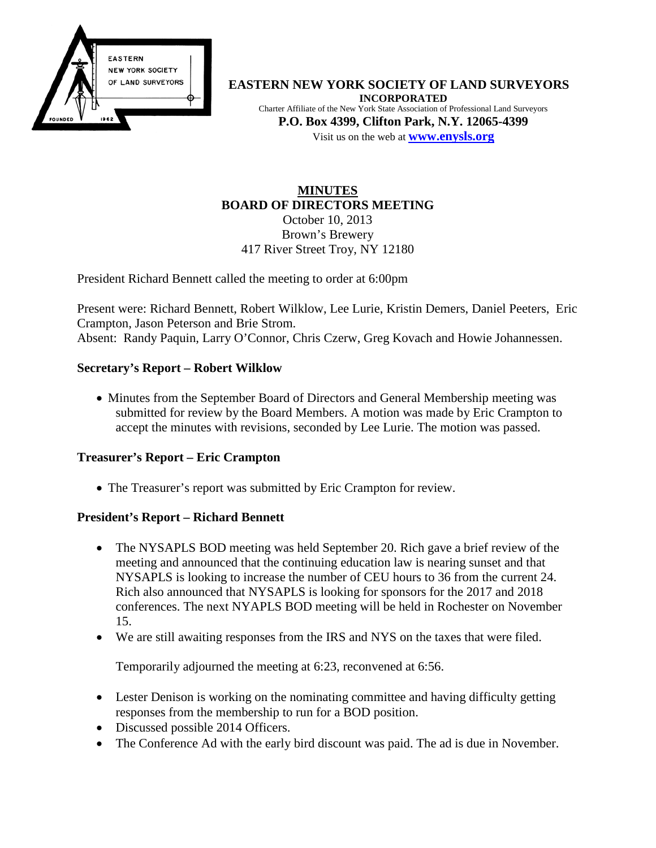

**EASTERN NEW YORK SOCIETY OF LAND SURVEYORS INCORPORATED** Charter Affiliate of the New York State Association of Professional Land Surveyors **P.O. Box 4399, Clifton Park, N.Y. 12065-4399** Visit us on the web at **[www.e](http://www.enysls.org/)nysls.org**

#### **MINUTES BOARD OF DIRECTORS MEETING** October 10, 2013 Brown's Brewery 417 River Street Troy, NY 12180

President Richard Bennett called the meeting to order at 6:00pm

Present were: Richard Bennett, Robert Wilklow, Lee Lurie, Kristin Demers, Daniel Peeters, Eric Crampton, Jason Peterson and Brie Strom. Absent: Randy Paquin, Larry O'Connor, Chris Czerw, Greg Kovach and Howie Johannessen.

## **Secretary's Report – Robert Wilklow**

• Minutes from the September Board of Directors and General Membership meeting was submitted for review by the Board Members. A motion was made by Eric Crampton to accept the minutes with revisions, seconded by Lee Lurie. The motion was passed.

## **Treasurer's Report – Eric Crampton**

• The Treasurer's report was submitted by Eric Crampton for review.

#### **President's Report – Richard Bennett**

- The NYSAPLS BOD meeting was held September 20. Rich gave a brief review of the meeting and announced that the continuing education law is nearing sunset and that NYSAPLS is looking to increase the number of CEU hours to 36 from the current 24. Rich also announced that NYSAPLS is looking for sponsors for the 2017 and 2018 conferences. The next NYAPLS BOD meeting will be held in Rochester on November 15.
- We are still awaiting responses from the IRS and NYS on the taxes that were filed.

Temporarily adjourned the meeting at 6:23, reconvened at 6:56.

- Lester Denison is working on the nominating committee and having difficulty getting responses from the membership to run for a BOD position.
- Discussed possible 2014 Officers.
- The Conference Ad with the early bird discount was paid. The ad is due in November.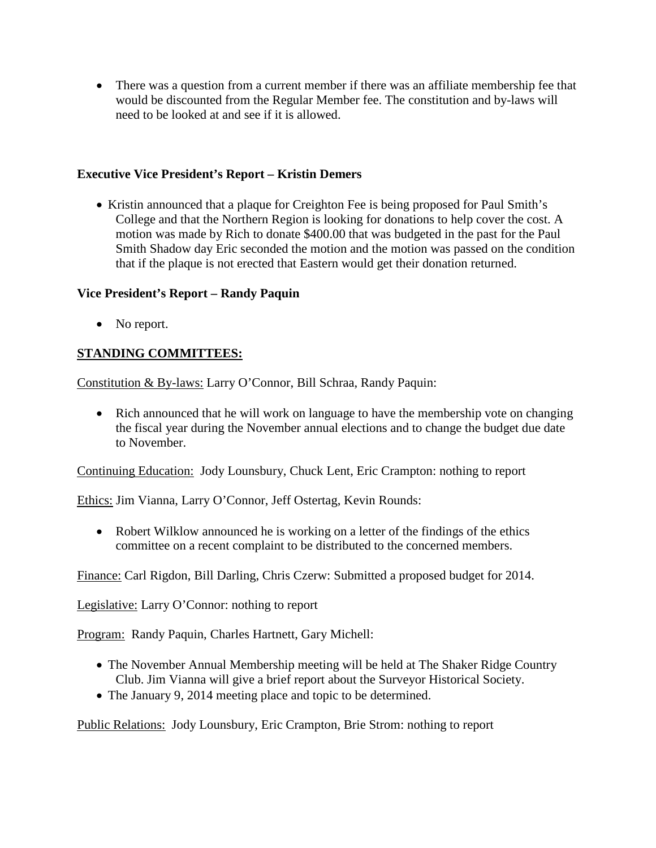• There was a question from a current member if there was an affiliate membership fee that would be discounted from the Regular Member fee. The constitution and by-laws will need to be looked at and see if it is allowed.

## **Executive Vice President's Report – Kristin Demers**

• Kristin announced that a plaque for Creighton Fee is being proposed for Paul Smith's College and that the Northern Region is looking for donations to help cover the cost. A motion was made by Rich to donate \$400.00 that was budgeted in the past for the Paul Smith Shadow day Eric seconded the motion and the motion was passed on the condition that if the plaque is not erected that Eastern would get their donation returned.

### **Vice President's Report – Randy Paquin**

• No report.

# **STANDING COMMITTEES:**

Constitution & By-laws: Larry O'Connor, Bill Schraa, Randy Paquin:

• Rich announced that he will work on language to have the membership vote on changing the fiscal year during the November annual elections and to change the budget due date to November.

Continuing Education: Jody Lounsbury, Chuck Lent, Eric Crampton: nothing to report

Ethics: Jim Vianna, Larry O'Connor, Jeff Ostertag, Kevin Rounds:

• Robert Wilklow announced he is working on a letter of the findings of the ethics committee on a recent complaint to be distributed to the concerned members.

Finance: Carl Rigdon, Bill Darling, Chris Czerw: Submitted a proposed budget for 2014.

Legislative: Larry O'Connor: nothing to report

Program: Randy Paquin, Charles Hartnett, Gary Michell:

- The November Annual Membership meeting will be held at The Shaker Ridge Country Club. Jim Vianna will give a brief report about the Surveyor Historical Society.
- The January 9, 2014 meeting place and topic to be determined.

Public Relations: Jody Lounsbury, Eric Crampton, Brie Strom: nothing to report